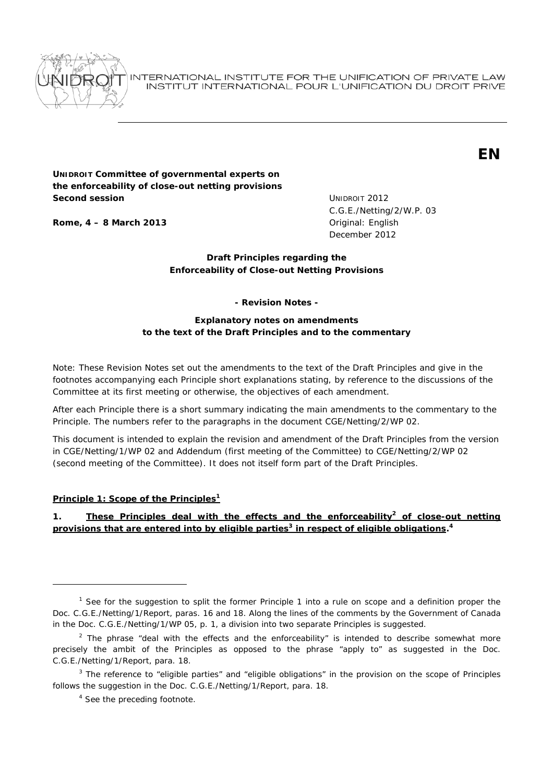

INTERNATIONAL INSTITUTE FOR THE UNIFICATION OF PRIVATE LAW INSTITUT INTERNATIONAL POUR L'UNIFICATION DU DROIT PRIVE



# **UNIDROIT Committee of governmental experts on the enforceability of close-out netting provisions Second session Second session UNIDROIT 2012**

**Rome, 4 – 8 March 2013 Communicate English Original: English** 

C.G.E./Netting/2/W.P. 03 December 2012

# **Draft Principles regarding the Enforceability of Close-out Netting Provisions**

**- Revision Notes -** 

# **Explanatory notes on amendments to the text of the Draft Principles and to the commentary**

Note: These Revision Notes set out the amendments to the text of the Draft Principles and give in the footnotes accompanying each Principle short explanations stating, by reference to the discussions of the Committee at its first meeting or otherwise, the objectives of each amendment.

After each Principle there is a short summary indicating the main amendments to the commentary to the Principle. The numbers refer to the paragraphs in the document CGE/Netting/2/WP 02.

This document is intended to explain the revision and amendment of the Draft Principles from the version in CGE/Netting/1/WP 02 and Addendum (first meeting of the Committee) to CGE/Netting/2/WP 02 (second meeting of the Committee). It does not itself form part of the Draft Principles.

# **Principle 1: Scope of the Principles1**

ł

*1. These Principles deal with the effects and the enforceability***<sup>2</sup>** *of close-out netting provisions that are entered into by eligible parties***<sup>3</sup>** *in respect of eligible obligations.* **4**

<sup>&</sup>lt;sup>1</sup> See for the suggestion to split the former Principle 1 into a rule on scope and a definition proper the Doc. C.G.E./Netting/1/Report, paras. 16 and 18. Along the lines of the comments by the Government of Canada in the Doc. C.G.E./Netting/1/WP 05, p. 1, a division into two separate Principles is suggested.

<sup>&</sup>lt;sup>2</sup> The phrase "*deal with the effects and the enforceability*" is intended to describe somewhat more precisely the ambit of the Principles as opposed to the phrase "*apply to*" as suggested in the Doc. C.G.E./Netting/1/Report, para. 18.

<sup>3</sup> The reference to "*eligible parties*" and "*eligible obligations*" in the provision on the scope of Principles follows the suggestion in the Doc. C.G.E./Netting/1/Report, para. 18.

<sup>&</sup>lt;sup>4</sup> See the preceding footnote.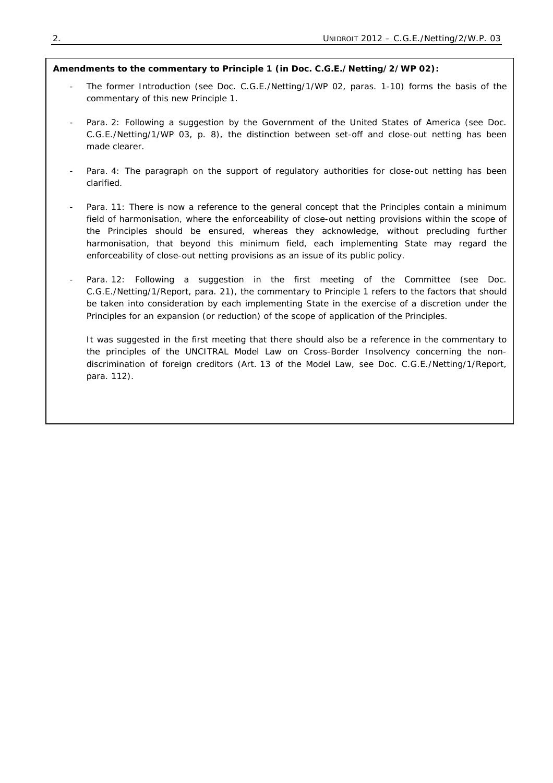## **Amendments to the commentary to Principle 1 (in Doc. C.G.E./Netting/2/WP 02):**

- The former Introduction (see Doc. C.G.E./Netting/1/WP 02, paras. 1-10) forms the basis of the commentary of this new Principle 1.
- Para. 2: Following a suggestion by the Government of the United States of America (see Doc. C.G.E./Netting/1/WP 03, p. 8), the distinction between set-off and close-out netting has been made clearer.
- Para. 4: The paragraph on the support of regulatory authorities for close-out netting has been clarified.
- Para. 11: There is now a reference to the general concept that the Principles contain a minimum field of harmonisation, where the enforceability of close-out netting provisions within the scope of the Principles should be ensured, whereas they acknowledge, without precluding further harmonisation, that beyond this minimum field, each implementing State may regard the enforceability of close-out netting provisions as an issue of its public policy.
- Para. 12: Following a suggestion in the first meeting of the Committee (see Doc. C.G.E./Netting/1/Report, para. 21), the commentary to Principle 1 refers to the factors that should be taken into consideration by each implementing State in the exercise of a discretion under the Principles for an expansion (or reduction) of the scope of application of the Principles.

It was suggested in the first meeting that there should also be a reference in the commentary to the principles of the UNCITRAL Model Law on Cross-Border Insolvency concerning the nondiscrimination of foreign creditors (Art. 13 of the Model Law, see Doc. C.G.E./Netting/1/Report, para. 112).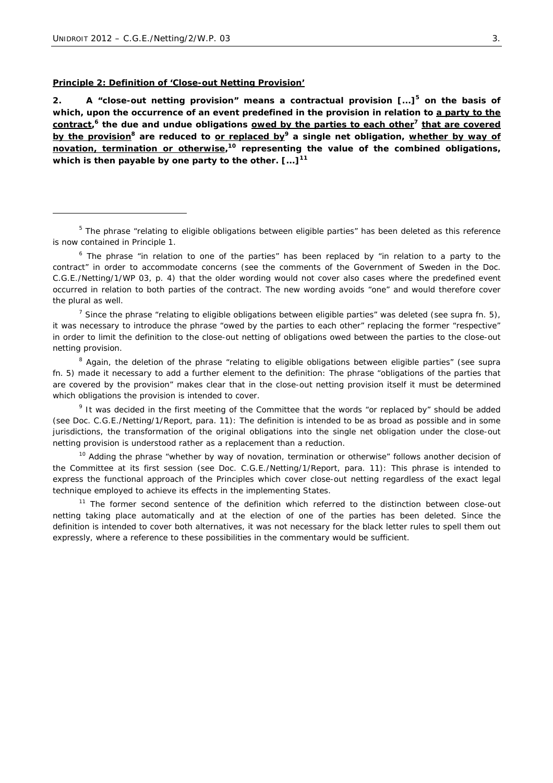ł

#### **Principle 2: Definition of 'Close-out Netting Provision'**

*2. A "close-out netting provision" means a contractual provision [...]***<sup>5</sup>** *on the basis of which, upon the occurrence of an event predefined in the provision in relation to a party to the contract,* **<sup>6</sup>** *the due and undue obligations owed by the parties to each other***<sup>7</sup>** *that are covered by the provision***<sup>8</sup>** *are reduced to or replaced by***<sup>9</sup>** *a single net obligation, whether by way of novation, termination or otherwise,* **<sup>10</sup>** *representing the value of the combined obligations, which is then payable by one party to the other. [...]***<sup>11</sup>**

5 The phrase "*relating to eligible obligations between eligible parties*" has been deleted as this reference is now contained in Principle 1.

6 The phrase "*in relation to one of the parties*" has been replaced by "*in relation to a party to the contract*" in order to accommodate concerns (see the comments of the Government of Sweden in the Doc. C.G.E./Netting/1/WP 03, p. 4) that the older wording would not cover also cases where the predefined event occurred in relation to both parties of the contract. The new wording avoids "*one*" and would therefore cover the plural as well.

7 Since the phrase "*relating to eligible obligations between eligible parties*" was deleted (see *supra* fn. 5), it was necessary to introduce the phrase "*owed by the parties to each other*" replacing the former "*respective*" in order to limit the definition to the close-out netting of obligations owed between the parties to the close-out netting provision.

8 Again, the deletion of the phrase "*relating to eligible obligations between eligible parties*" (see *supra* fn. 5) made it necessary to add a further element to the definition: The phrase "*obligations of the parties that are covered by the provision*" makes clear that in the close-out netting provision itself it must be determined which obligations the provision is intended to cover.

9 It was decided in the first meeting of the Committee that the words "*or replaced by*" should be added (see Doc. C.G.E./Netting/1/Report, para. 11): The definition is intended to be as broad as possible and in some jurisdictions, the transformation of the original obligations into the single net obligation under the close-out netting provision is understood rather as a replacement than a reduction.

<sup>10</sup> Adding the phrase "*whether by way of novation, termination or otherwise*" follows another decision of the Committee at its first session (see Doc. C.G.E./Netting/1/Report, para. 11): This phrase is intended to express the functional approach of the Principles which cover close-out netting regardless of the exact legal technique employed to achieve its effects in the implementing States.

 $11$  The former second sentence of the definition which referred to the distinction between close-out netting taking place automatically and at the election of one of the parties has been deleted. Since the definition is intended to cover both alternatives, it was not necessary for the black letter rules to spell them out expressly, where a reference to these possibilities in the commentary would be sufficient.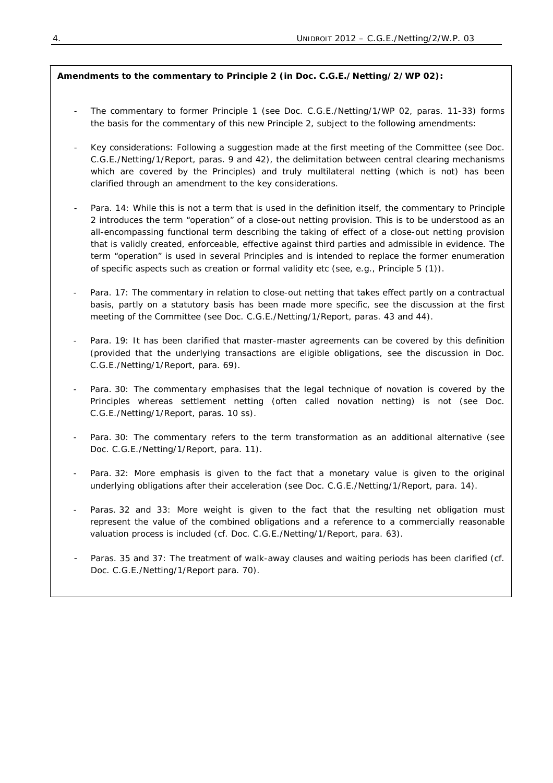# **Amendments to the commentary to Principle 2 (in Doc. C.G.E./Netting/2/WP 02):**

- The commentary to former Principle 1 (see Doc. C.G.E./Netting/1/WP 02, paras. 11-33) forms the basis for the commentary of this new Principle 2, subject to the following amendments:
- Key considerations: Following a suggestion made at the first meeting of the Committee (see Doc. C.G.E./Netting/1/Report, paras. 9 and 42), the delimitation between *central clearing mechanisms* which are covered by the Principles) and *truly multilateral netting* (which is not) has been clarified through an amendment to the key considerations.
- Para. 14: While this is not a term that is used in the definition itself, the commentary to Principle 2 introduces the term "*operation*" of a close-out netting provision. This is to be understood as an all-encompassing functional term describing the taking of effect of a close-out netting provision that is validly created, enforceable, effective against third parties and admissible in evidence. The term "operation" is used in several Principles and is intended to replace the former enumeration of specific aspects such as creation or formal validity etc (see, e.g., Principle 5 (1)).
- Para. 17: The commentary in relation to close-out netting that takes effect partly on a contractual basis, partly on a statutory basis has been made more specific, see the discussion at the first meeting of the Committee (see Doc. C.G.E./Netting/1/Report, paras. 43 and 44).
- Para. 19: It has been clarified that master-master agreements can be covered by this definition (provided that the underlying transactions are eligible obligations, see the discussion in Doc. C.G.E./Netting/1/Report, para. 69).
- Para. 30: The commentary emphasises that the legal technique of *novation* is covered by the Principles whereas *settlement netting* (often called novation netting) is not (see Doc. C.G.E./Netting/1/Report, paras. 10 ss).
- Para. 30: The commentary refers to the term *transformation* as an additional alternative (see Doc. C.G.E./Netting/1/Report, para. 11).
- Para. 32: More emphasis is given to the fact that a monetary value is given to the original underlying obligations after their acceleration (see Doc. C.G.E./Netting/1/Report, para. 14).
- Paras. 32 and 33: More weight is given to the fact that the resulting net obligation must represent the value of the combined obligations and a reference to a commercially reasonable valuation process is included (cf. Doc. C.G.E./Netting/1/Report, para. 63).
- Paras. 35 and 37: The treatment of walk-away clauses and waiting periods has been clarified (cf. Doc. C.G.E./Netting/1/Report para. 70).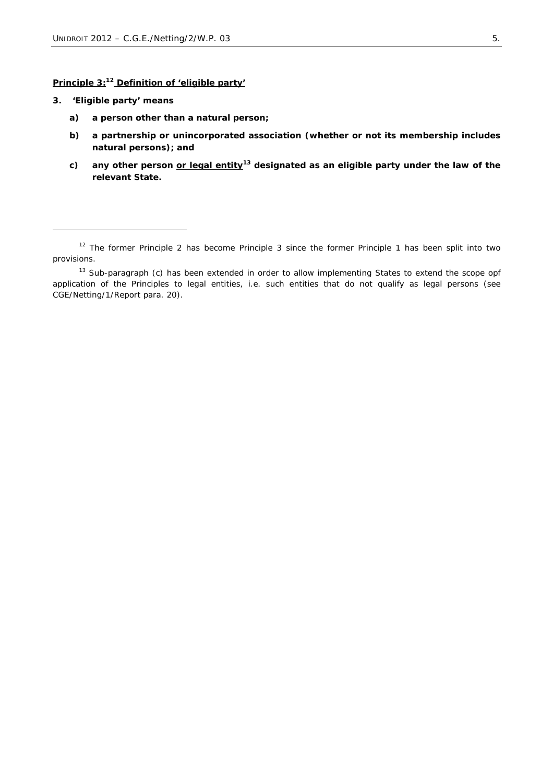# **Principle 3:12 Definition of 'eligible party'**

*3. 'Eligible party' means* 

- *a) a person other than a natural person;*
- *b) a partnership or unincorporated association (whether or not its membership includes natural persons); and*
- *c) any other person or legal entity***<sup>13</sup>** *designated as an eligible party under the law of the relevant State.*

 $12$  The former Principle 2 has become Principle 3 since the former Principle 1 has been split into two provisions.

<sup>&</sup>lt;sup>13</sup> Sub-paragraph (c) has been extended in order to allow implementing States to extend the scope opf application of the Principles to legal entities, *i.e.* such entities that do not qualify as legal persons (see CGE/Netting/1/Report para. 20).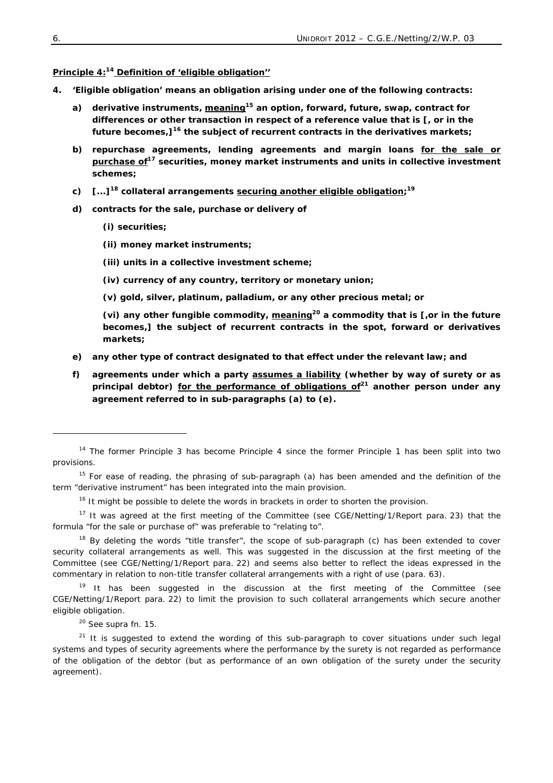# **Principle 4:14 Definition of 'eligible obligation''**

- *4. 'Eligible obligation' means an obligation arising under one of the following contracts:* 
	- *a) derivative instruments, meaning***<sup>15</sup>** *an option, forward, future, swap, contract for differences or other transaction in respect of a reference value that is [, or in the future becomes,]***<sup>16</sup>** *the subject of recurrent contracts in the derivatives markets;*
	- *b) repurchase agreements, lending agreements and margin loans for the sale or purchase of***<sup>17</sup>** *securities, money market instruments and units in collective investment schemes;*
	- *c) [...]***<sup>18</sup>** *collateral arrangements securing another eligible obligation;* **19**
	- *d) contracts for the sale, purchase or delivery of* 
		- *(i) securities;*
		- *(ii) money market instruments;*
		- *(iii) units in a collective investment scheme;*
		- *(iv) currency of any country, territory or monetary union;*
		- *(v) gold, silver, platinum, palladium, or any other precious metal; or*

*(vi) any other fungible commodity, meaning***<sup>20</sup>** *a commodity that is [,or in the future becomes,] the subject of recurrent contracts in the spot, forward or derivatives markets;* 

- *e) any other type of contract designated to that effect under the relevant law; and*
- *f) agreements under which a party assumes a liability (whether by way of surety or as principal debtor) for the performance of obligations of***<sup>21</sup>** *another person under any agreement referred to in sub-paragraphs (a) to (e).*

<sup>&</sup>lt;sup>14</sup> The former Principle 3 has become Principle 4 since the former Principle 1 has been split into two provisions.

 $15$  For ease of reading, the phrasing of sub-paragraph (a) has been amended and the definition of the term "derivative instrument" has been integrated into the main provision.

<sup>&</sup>lt;sup>16</sup> It might be possible to delete the words in brackets in order to shorten the provision.

<sup>&</sup>lt;sup>17</sup> It was agreed at the first meeting of the Committee (see CGE/Netting/1/Report para. 23) that the formula "for the sale or purchase of" was preferable to "relating to".

<sup>&</sup>lt;sup>18</sup> By deleting the words "title transfer", the scope of sub-paragraph (c) has been extended to cover security collateral arrangements as well. This was suggested in the discussion at the first meeting of the Committee (see CGE/Netting/1/Report para. 22) and seems also better to reflect the ideas expressed in the commentary in relation to non-title transfer collateral arrangements with a right of use (para. 63).

 $19$  It has been suggested in the discussion at the first meeting of the Committee (see CGE/Netting/1/Report para. 22) to limit the provision to such collateral arrangements which secure another eligible obligation.

 $20$  See supra fn. 15.

<sup>&</sup>lt;sup>21</sup> It is suggested to extend the wording of this sub-paragraph to cover situations under such legal systems and types of security agreements where the performance by the surety is not regarded as performance of the obligation of the debtor (but as performance of an own obligation of the surety under the security agreement).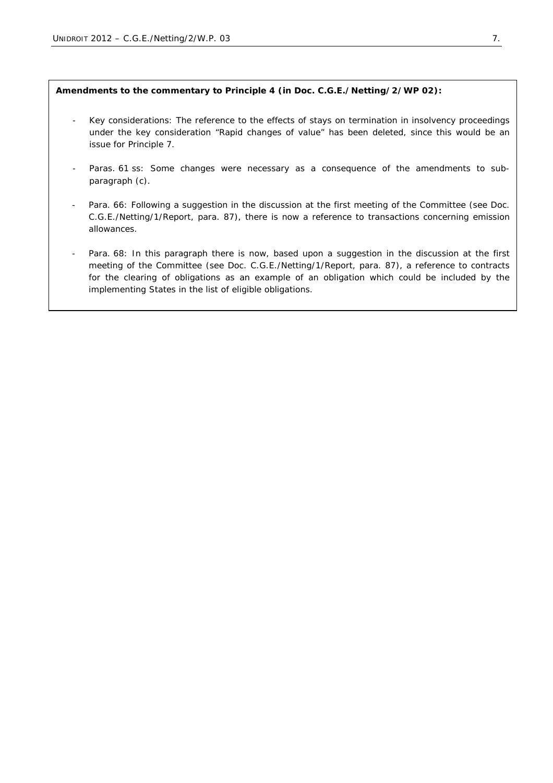## **Amendments to the commentary to Principle 4 (in Doc. C.G.E./Netting/2/WP 02):**

- Key considerations: The reference to the effects of stays on termination in insolvency proceedings under the key consideration "Rapid changes of value" has been deleted, since this would be an issue for Principle 7.
- Paras. 61 ss: Some changes were necessary as a consequence of the amendments to subparagraph (c).
- Para. 66: Following a suggestion in the discussion at the first meeting of the Committee (see Doc. C.G.E./Netting/1/Report, para. 87), there is now a reference to transactions concerning emission allowances.
- Para. 68: In this paragraph there is now, based upon a suggestion in the discussion at the first meeting of the Committee (see Doc. C.G.E./Netting/1/Report, para. 87), a reference to contracts for the clearing of obligations as an example of an obligation which could be included by the implementing States in the list of eligible obligations.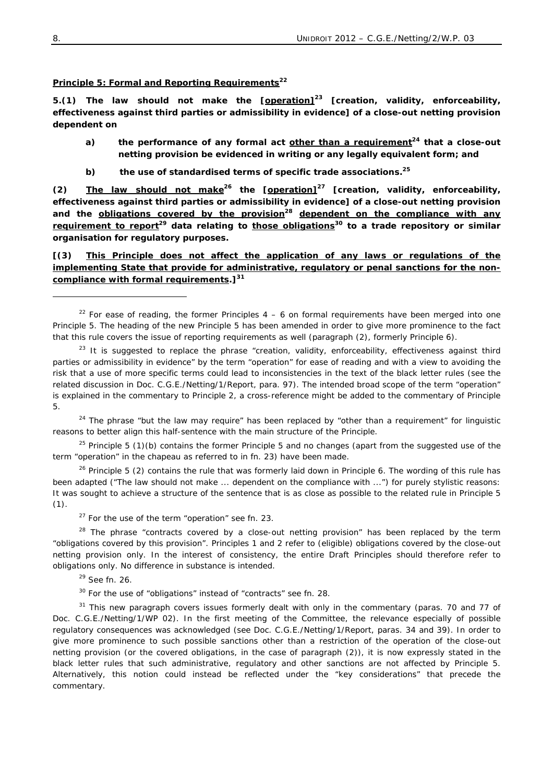### **Principle 5: Formal and Reporting Requirements<sup>22</sup>**

*5.(1) The law should not make the [operation]***<sup>23</sup>** *[creation, validity, enforceability, effectiveness against third parties or admissibility in evidence] of a close-out netting provision dependent on* 

- *a) the performance of any formal act other than a requirement***<sup>24</sup>** *that a close-out netting provision be evidenced in writing or any legally equivalent form; and*
- *b) the use of standardised terms of specific trade associations.***<sup>25</sup>**

*(2) The law should not make***<sup>26</sup>** *the [operation]***<sup>27</sup>** *[creation, validity, enforceability, effectiveness against third parties or admissibility in evidence] of a close-out netting provision and the obligations covered by the provision***<sup>28</sup>** *dependent on the compliance with any requirement to report***<sup>29</sup>** *data relating to those obligations***<sup>30</sup>** *to a trade repository or similar organisation for regulatory purposes.* 

*[(3) This Principle does not affect the application of any laws or regulations of the implementing State that provide for administrative, regulatory or penal sanctions for the noncompliance with formal requirements.]***<sup>31</sup>**

24 The phrase "*but the law may require*" has been replaced by "*other than a requirement*" for linguistic reasons to better align this half-sentence with the main structure of the Principle.

 $25$  Principle 5 (1)(b) contains the former Principle 5 and no changes (apart from the suggested use of the term "*operation"* in the chapeau as referred to in fn. 23) have been made.

 $26$  Principle 5 (2) contains the rule that was formerly laid down in Principle 6. The wording of this rule has been adapted ("*The law should not make ... dependent on the compliance with ...")* for purely stylistic reasons: It was sought to achieve a structure of the sentence that is as close as possible to the related rule in Principle 5  $(1).$ 

27 For the use of the term "*operation"* see fn. 23.

28 The phrase "*contracts covered by a close-out netting provision*" has been replaced by the term "*obligations covered by this provision*". Principles 1 and 2 refer to (eligible) obligations covered by the close-out netting provision only. In the interest of consistency, the entire Draft Principles should therefore refer to obligations only. No difference in substance is intended.

 $29$  See fn. 26.

30 For the use of "*obligations*" instead of "*contracts*" see fn. 28.

 $31$  This new paragraph covers issues formerly dealt with only in the commentary (paras. 70 and 77 of Doc. C.G.E./Netting/1/WP 02). In the first meeting of the Committee, the relevance especially of possible regulatory consequences was acknowledged (see Doc. C.G.E./Netting/1/Report, paras. 34 and 39). In order to give more prominence to such possible sanctions other than a restriction of the operation of the close-out netting provision (or the covered obligations, in the case of paragraph (2)), it is now expressly stated in the black letter rules that such administrative, regulatory and other sanctions are not affected by Principle 5. Alternatively, this notion could instead be reflected under the "key considerations" that precede the commentary.

<sup>&</sup>lt;sup>22</sup> For ease of reading, the former Principles  $4 - 6$  on formal requirements have been merged into one Principle 5. The heading of the new Principle 5 has been amended in order to give more prominence to the fact that this rule covers the issue of reporting requirements as well (paragraph (2), formerly Principle 6).

<sup>23</sup> It is suggested to replace the phrase "*creation, validity, enforceability, effectiveness against third parties or admissibility in evidence*" by the term "*operation*" for ease of reading and with a view to avoiding the risk that a use of more specific terms could lead to inconsistencies in the text of the black letter rules (see the related discussion in Doc. C.G.E./Netting/1/Report, para. 97). The intended broad scope of the term "operation" is explained in the commentary to Principle 2, a cross-reference might be added to the commentary of Principle 5.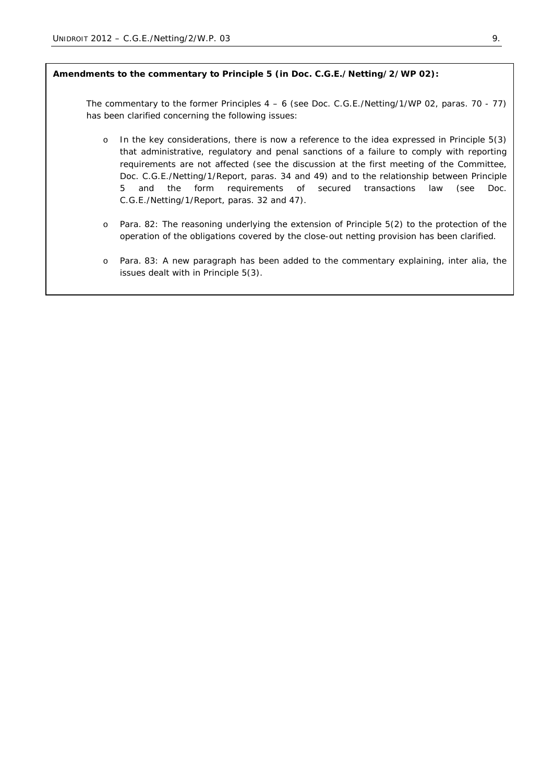### **Amendments to the commentary to Principle 5 (in Doc. C.G.E./Netting/2/WP 02):**

The commentary to the former Principles 4 – 6 (see Doc. C.G.E./Netting/1/WP 02, paras. 70 - 77) has been clarified concerning the following issues:

- o In the key considerations, there is now a reference to the idea expressed in Principle 5(3) that administrative, regulatory and penal sanctions of a failure to comply with reporting requirements are not affected (see the discussion at the first meeting of the Committee, Doc. C.G.E./Netting/1/Report, paras. 34 and 49) and to the relationship between Principle 5 and the form requirements of secured transactions law (see Doc. C.G.E./Netting/1/Report, paras. 32 and 47).
- o Para. 82: The reasoning underlying the extension of Principle 5(2) to the protection of the operation of the obligations covered by the close-out netting provision has been clarified.
- o Para. 83: A new paragraph has been added to the commentary explaining, *inter alia*, the issues dealt with in Principle 5(3).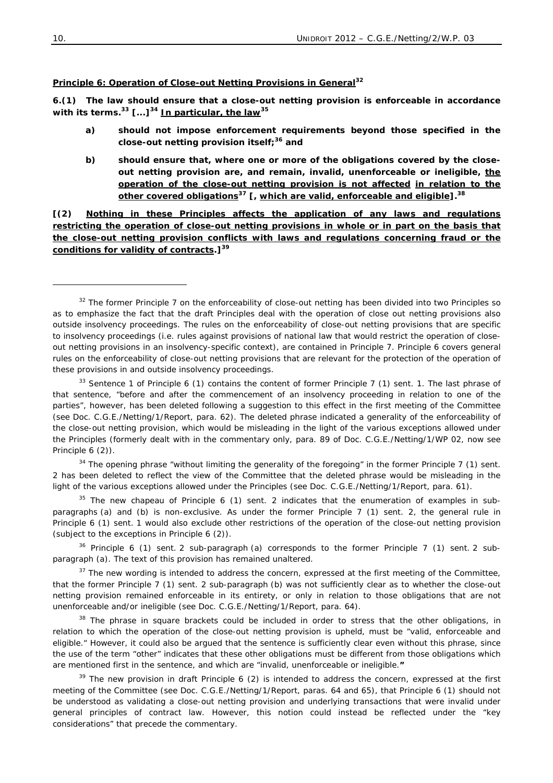#### **Principle 6: Operation of Close-out Netting Provisions in General**<sup>32</sup>

*6.(1) The law should ensure that a close-out netting provision is enforceable in accordance with its terms.***<sup>33</sup>** *[...]***<sup>34</sup>** *In particular, the law***<sup>35</sup>**

- *a) should not impose enforcement requirements beyond those specified in the close-out netting provision itself;***<sup>36</sup>** *and*
- *b) should ensure that, where one or more of the obligations covered by the closeout netting provision are, and remain, invalid, unenforceable or ineligible, the operation of the close-out netting provision is not affected in relation to the other covered obligations***<sup>37</sup>** *[, which are valid, enforceable and eligible].***<sup>38</sup>**

*[(2) Nothing in these Principles affects the application of any laws and regulations restricting the operation of close-out netting provisions in whole or in part on the basis that the close-out netting provision conflicts with laws and regulations concerning fraud or the conditions for validity of contracts.]***<sup>39</sup>**

 $33$  Sentence 1 of Principle 6 (1) contains the content of former Principle 7 (1) sent. 1. The last phrase of that sentence, "*before and after the commencement of an insolvency proceeding in relation to one of the parties*", however, has been deleted following a suggestion to this effect in the first meeting of the Committee (see Doc. C.G.E./Netting/1/Report, para. 62). The deleted phrase indicated a generality of the enforceability of the close-out netting provision, which would be misleading in the light of the various exceptions allowed under the Principles (formerly dealt with in the commentary only, para. 89 of Doc. C.G.E./Netting/1/WP 02, now see Principle 6 (2)).

<sup>34</sup> The opening phrase "without limiting the generality of the foregoing" in the former Principle 7 (1) sent. 2 has been deleted to reflect the view of the Committee that the deleted phrase would be misleading in the light of the various exceptions allowed under the Principles (see Doc. C.G.E./Netting/1/Report, para. 61).

 $35$  The new chapeau of Principle 6 (1) sent. 2 indicates that the enumeration of examples in subparagraphs (a) and (b) is non-exclusive. As under the former Principle 7 (1) sent. 2, the general rule in Principle 6 (1) sent. 1 would also exclude other restrictions of the operation of the close-out netting provision (subject to the exceptions in Principle 6 (2)).

 $36$  Principle 6 (1) sent. 2 sub-paragraph (a) corresponds to the former Principle 7 (1) sent. 2 subparagraph (a). The text of this provision has remained unaltered.

 $37$  The new wording is intended to address the concern, expressed at the first meeting of the Committee, that the former Principle 7 (1) sent. 2 sub-paragraph (b) was not sufficiently clear as to whether the close-out netting provision remained enforceable in its entirety, or only in relation to those obligations that are not unenforceable and/or ineligible (see Doc. C.G.E./Netting/1/Report, para. 64).

<sup>38</sup> The phrase in square brackets could be included in order to stress that the other obligations, in relation to which the operation of the close-out netting provision is upheld, must be "*valid, enforceable and eligible.*" However, it could also be argued that the sentence is sufficiently clear even without this phrase, since the use of the term "*other*" indicates that these other obligations must be different from those obligations which are mentioned first in the sentence, and which are "*invalid, unenforceable or ineligible."*

 $39$  The new provision in draft Principle 6 (2) is intended to address the concern, expressed at the first meeting of the Committee (see Doc. C.G.E./Netting/1/Report, paras. 64 and 65), that Principle 6 (1) should not be understood as validating a close-out netting provision and underlying transactions that were invalid under general principles of contract law. However, this notion could instead be reflected under the "key considerations" that precede the commentary.

 $32$  The former Principle 7 on the enforceability of close-out netting has been divided into two Principles so as to emphasize the fact that the draft Principles deal with the operation of close out netting provisions also outside insolvency proceedings. The rules on the enforceability of close-out netting provisions that are specific to insolvency proceedings (*i.e.* rules against provisions of national law that would restrict the operation of closeout netting provisions in an insolvency-specific context), are contained in Principle 7. Principle 6 covers general rules on the enforceability of close-out netting provisions that are relevant for the protection of the operation of these provisions in and outside insolvency proceedings.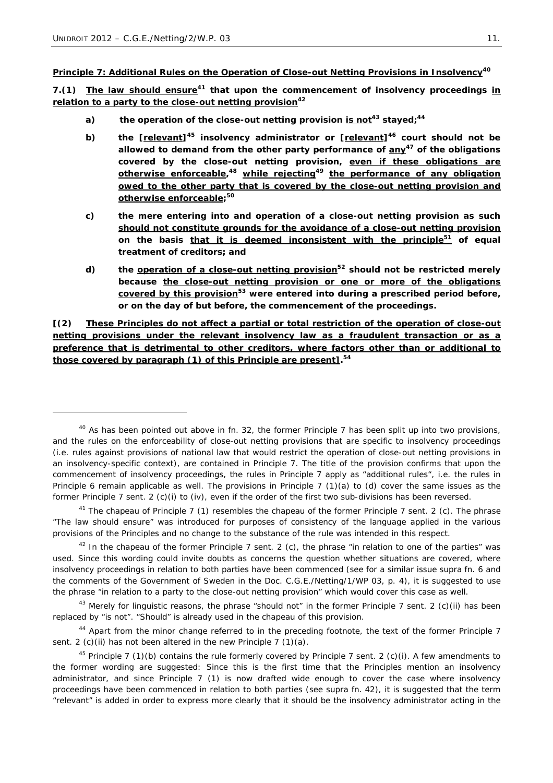ł

**Principle 7: Additional Rules on the Operation of Close-out Netting Provisions in Insolvency<sup>40</sup>**

*7.(1) The law should ensure***<sup>41</sup>** *that upon the commencement of insolvency proceedings in relation to a party to the close-out netting provision***<sup>42</sup>**

- *a) the operation of the close-out netting provision is not***<sup>43</sup>** *stayed;***<sup>44</sup>**
- *b) the [relevant]***<sup>45</sup>** *insolvency administrator or [relevant]***<sup>46</sup>** *court should not be allowed to demand from the other party performance of any***<sup>47</sup>** *of the obligations covered by the close-out netting provision, even if these obligations are otherwise enforceable,* **<sup>48</sup>** *while rejecting***<sup>49</sup>** *the performance of any obligation owed to the other party that is covered by the close-out netting provision and otherwise enforceable;* **50**
- *c) the mere entering into and operation of a close-out netting provision as such should not constitute grounds for the avoidance of a close-out netting provision* on the basis that it is deemed inconsistent with the principle<sup>51</sup> of equal *treatment of creditors; and*
- *d) the operation of a close-out netting provision***<sup>52</sup>** *should not be restricted merely because the close-out netting provision or one or more of the obligations covered by this provision***<sup>53</sup>** *were entered into during a prescribed period before, or on the day of but before, the commencement of the proceedings.*

*[(2) These Principles do not affect a partial or total restriction of the operation of close-out netting provisions under the relevant insolvency law as a fraudulent transaction or as a preference that is detrimental to other creditors, where factors other than or additional to those covered by paragraph (1) of this Principle are present].* **54**

 $40$  As has been pointed out above in fn. 32, the former Principle 7 has been split up into two provisions, and the rules on the enforceability of close-out netting provisions that are specific to insolvency proceedings (*i.e.* rules against provisions of national law that would restrict the operation of close-out netting provisions in an insolvency-specific context), are contained in Principle 7. The title of the provision confirms that upon the commencement of insolvency proceedings, the rules in Principle 7 apply as "*additional rules*", *i.e.* the rules in Principle 6 remain applicable as well. The provisions in Principle 7 (1)(a) to (d) cover the same issues as the former Principle 7 sent. 2 (c)(i) to (iv), even if the order of the first two sub-divisions has been reversed.

<sup>&</sup>lt;sup>41</sup> The chapeau of Principle 7 (1) resembles the chapeau of the former Principle 7 sent. 2 (c). The phrase "*The law should ensure*" was introduced for purposes of consistency of the language applied in the various provisions of the Principles and no change to the substance of the rule was intended in this respect.

<sup>42</sup> In the chapeau of the former Principle 7 sent. 2 (c), the phrase "*in relation to one of the parties*" was used. Since this wording could invite doubts as concerns the question whether situations are covered, where insolvency proceedings in relation to both parties have been commenced (see for a similar issue *supra* fn. 6 and the comments of the Government of Sweden in the Doc. C.G.E./Netting/1/WP 03, p. 4), it is suggested to use the phrase "*in relation to a party to the close-out netting provision*" which would cover this case as well.

<sup>43</sup> Merely for linguistic reasons, the phrase "*should not*" in the former Principle 7 sent. 2 (c)(ii) has been replaced by "*is not*". "*Should*" is already used in the chapeau of this provision.

<sup>&</sup>lt;sup>44</sup> Apart from the minor change referred to in the preceding footnote, the text of the former Principle 7 sent. 2 (c)(ii) has not been altered in the new Principle 7 (1)(a).

<sup>&</sup>lt;sup>45</sup> Principle 7 (1)(b) contains the rule formerly covered by Principle 7 sent. 2 (c)(i). A few amendments to the former wording are suggested: Since this is the first time that the Principles mention an insolvency administrator, and since Principle 7 (1) is now drafted wide enough to cover the case where insolvency proceedings have been commenced in relation to both parties (see *supra* fn. 42), it is suggested that the term "*relevant*" is added in order to express more clearly that it should be the insolvency administrator acting in the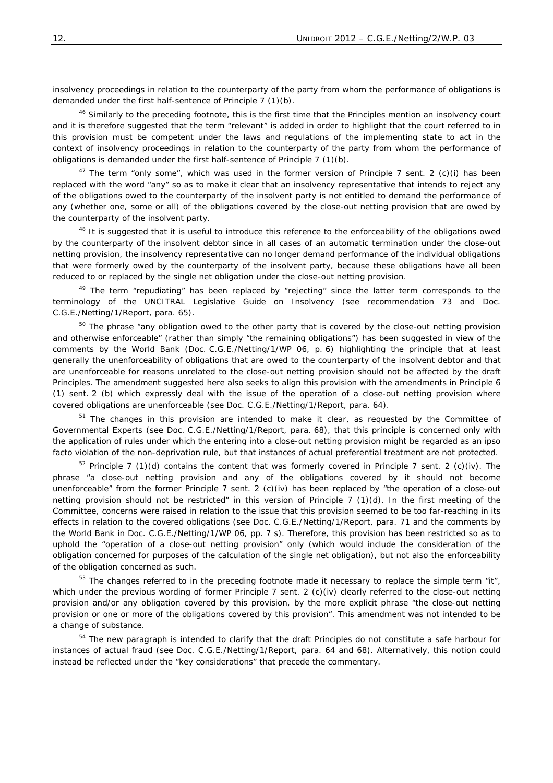insolvency proceedings in relation to the counterparty of the party from whom the performance of obligations is demanded under the first half-sentence of Principle 7 (1)(b).

<sup>46</sup> Similarly to the preceding footnote, this is the first time that the Principles mention an insolvency court and it is therefore suggested that the term "*relevant*" is added in order to highlight that the court referred to in this provision must be competent under the laws and regulations of the implementing state to act in the context of insolvency proceedings in relation to the counterparty of the party from whom the performance of obligations is demanded under the first half-sentence of Principle 7 (1)(b).

47 The term "*only some*", which was used in the former version of Principle 7 sent. 2 (c)(i) has been replaced with the word "*any*" so as to make it clear that an insolvency representative that intends to reject any of the obligations owed to the counterparty of the insolvent party is not entitled to demand the performance of *any* (whether one, some or all) of the obligations covered by the close-out netting provision that are owed by the counterparty of the insolvent party.

<sup>48</sup> It is suggested that it is useful to introduce this reference to the enforceability of the obligations owed by the counterparty of the insolvent debtor since in all cases of an automatic termination under the close-out netting provision, the insolvency representative can no longer demand performance of the individual obligations that were formerly owed by the counterparty of the insolvent party, because these obligations have all been reduced to or replaced by the single net obligation under the close-out netting provision.

49 The term "*repudiating*" has been replaced by "*rejecting*" since the latter term corresponds to the terminology of the UNCITRAL Legislative Guide on Insolvency (see recommendation 73 and Doc. C.G.E./Netting/1/Report, para. 65).

50 The phrase "*any obligation owed to the other party that is covered by the close-out netting provision and otherwise enforceable*" (rather than simply *"the remaining obligations")* has been suggested in view of the comments by the World Bank (Doc. C.G.E./Netting/1/WP 06, p. 6) highlighting the principle that at least generally the unenforceability of obligations that are owed to the counterparty of the insolvent debtor and that are unenforceable for reasons unrelated to the close-out netting provision should not be affected by the draft Principles. The amendment suggested here also seeks to align this provision with the amendments in Principle 6 (1) sent. 2 (b) which expressly deal with the issue of the operation of a close-out netting provision where covered obligations are unenforceable (see Doc. C.G.E./Netting/1/Report, para. 64).

 $51$  The changes in this provision are intended to make it clear, as requested by the Committee of Governmental Experts (see Doc. C.G.E./Netting/1/Report, para. 68), that this principle is concerned only with the application of rules under which the entering into a close-out netting provision might be regarded as an *ipso facto* violation of the non-deprivation rule, but that instances of actual preferential treatment are not protected.

 $52$  Principle 7 (1)(d) contains the content that was formerly covered in Principle 7 sent. 2 (c)(iv). The phrase "*a close-out netting provision and any of the obligations covered by it should not become unenforceable*" from the former Principle 7 sent. 2 (c)(iv) has been replaced by "*the operation of a close-out netting provision should not be restricted"* in this version of Principle 7 (1)(d). In the first meeting of the Committee, concerns were raised in relation to the issue that this provision seemed to be too far-reaching in its effects in relation to the covered obligations (see Doc. C.G.E./Netting/1/Report, para. 71 and the comments by the World Bank in Doc. C.G.E./Netting/1/WP 06, pp. 7 s). Therefore, this provision has been restricted so as to uphold the "*operation of a close-out netting provision"* only (which would include the consideration of the obligation concerned for purposes of the calculation of the single net obligation), but not also the enforceability of the obligation concerned as such.

53 The changes referred to in the preceding footnote made it necessary to replace the simple term "*it*", which under the previous wording of former Principle 7 sent. 2 (c)(iv) clearly referred to the close-out netting provision and/or any obligation covered by this provision, by the more explicit phrase "*the close-out netting provision or one or more of the obligations covered by this provision*". This amendment was not intended to be a change of substance.

<sup>54</sup> The new paragraph is intended to clarify that the draft Principles do not constitute a safe harbour for instances of actual fraud (see Doc. C.G.E./Netting/1/Report, para. 64 and 68). Alternatively, this notion could instead be reflected under the "key considerations" that precede the commentary.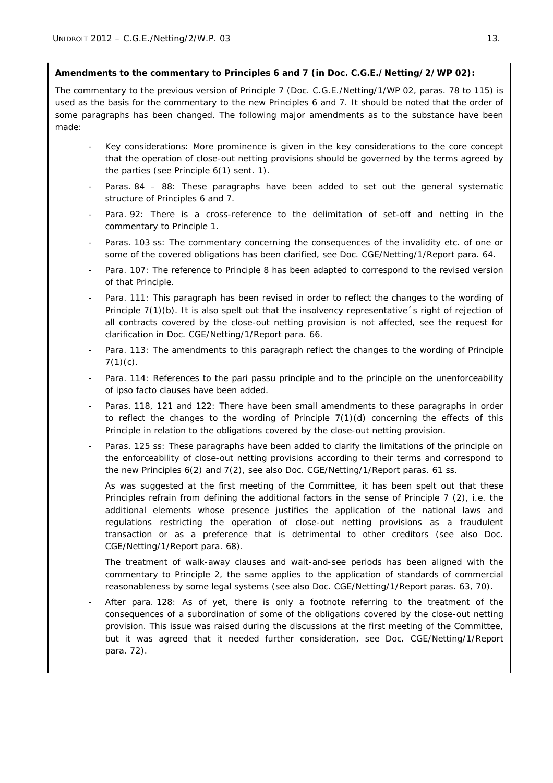## **Amendments to the commentary to Principles 6 and 7 (in Doc. C.G.E./Netting/2/WP 02):**

The commentary to the previous version of Principle 7 (Doc. C.G.E./Netting/1/WP 02, paras. 78 to 115) is used as the basis for the commentary to the new Principles 6 and 7. It should be noted that the order of some paragraphs has been changed. The following major amendments as to the substance have been made:

- Key considerations: More prominence is given in the key considerations to the core concept that the operation of close-out netting provisions should be governed by the terms agreed by the parties (see Principle 6(1) sent. 1).
- Paras. 84 88: These paragraphs have been added to set out the general systematic structure of Principles 6 and 7.
- Para. 92: There is a cross-reference to the delimitation of set-off and netting in the commentary to Principle 1.
- Paras. 103 ss: The commentary concerning the consequences of the invalidity etc. of one or some of the covered obligations has been clarified, see Doc. CGE/Netting/1/Report para. 64.
- Para. 107: The reference to Principle 8 has been adapted to correspond to the revised version of that Principle.
- Para. 111: This paragraph has been revised in order to reflect the changes to the wording of Principle 7(1)(b). It is also spelt out that the insolvency representative´s right of rejection of *all* contracts covered by the close-out netting provision is not affected, see the request for clarification in Doc. CGE/Netting/1/Report para. 66.
- Para. 113: The amendments to this paragraph reflect the changes to the wording of Principle  $7(1)(c)$ .
- Para. 114: References to the pari passu principle and to the principle on the unenforceability of ipso facto clauses have been added.
- Paras. 118, 121 and 122: There have been small amendments to these paragraphs in order to reflect the changes to the wording of Principle  $7(1)(d)$  concerning the effects of this Principle in relation to the obligations covered by the close-out netting provision.
- Paras. 125 ss: These paragraphs have been added to clarify the limitations of the principle on the enforceability of close-out netting provisions according to their terms and correspond to the new Principles 6(2) and 7(2), see also Doc. CGE/Netting/1/Report paras. 61 ss.

As was suggested at the first meeting of the Committee, it has been spelt out that these Principles refrain from defining the additional factors in the sense of Principle 7 (2), *i.e.* the additional elements whose presence justifies the application of the national laws and regulations restricting the operation of close-out netting provisions as a fraudulent transaction or as a preference that is detrimental to other creditors (see also Doc. CGE/Netting/1/Report para. 68).

The treatment of walk-away clauses and wait-and-see periods has been aligned with the commentary to Principle 2, the same applies to the application of standards of commercial reasonableness by some legal systems (see also Doc. CGE/Netting/1/Report paras. 63, 70).

After para. 128: As of yet, there is only a footnote referring to the treatment of the consequences of a subordination of some of the obligations covered by the close-out netting provision. This issue was raised during the discussions at the first meeting of the Committee, but it was agreed that it needed further consideration, see Doc. CGE/Netting/1/Report para. 72).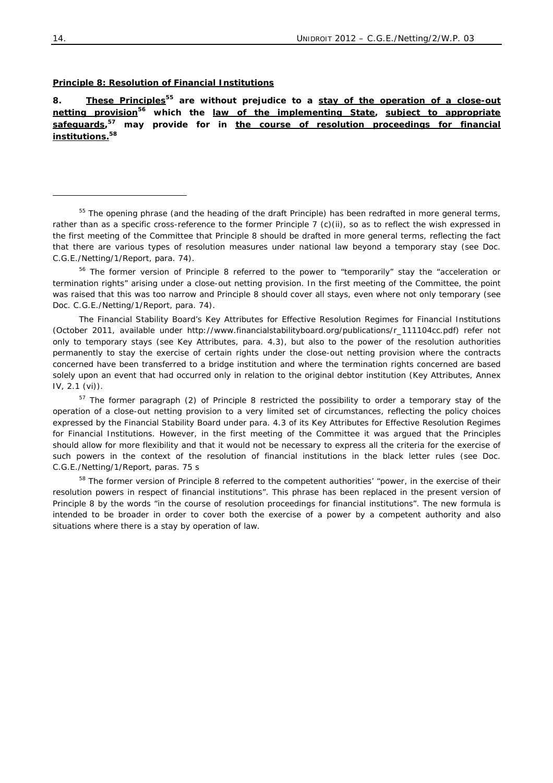#### **Principle 8: Resolution of Financial Institutions**

*8. These Principles***<sup>55</sup>** *are without prejudice to a stay of the operation of a close-out netting provision***<sup>56</sup>** *which the law of the implementing State, subject to appropriate safeguards,* **<sup>57</sup>** *may provide for in the course of resolution proceedings for financial institutions.***<sup>58</sup>**

<sup>55</sup> The opening phrase (and the heading of the draft Principle) has been redrafted in more general terms, rather than as a specific cross-reference to the former Principle 7 (c)(ii), so as to reflect the wish expressed in the first meeting of the Committee that Principle 8 should be drafted in more general terms, reflecting the fact that there are various types of resolution measures under national law beyond a temporary stay (see Doc. C.G.E./Netting/1/Report, para. 74).

56 The former version of Principle 8 referred to the power to "*temporarily"* stay the *"acceleration or termination rights*" arising under a close-out netting provision. In the first meeting of the Committee, the point was raised that this was too narrow and Principle 8 should cover all stays, even where not only temporary (see Doc. C.G.E./Netting/1/Report, para. 74).

The Financial Stability Board's Key Attributes for Effective Resolution Regimes for Financial Institutions (October 2011, available under http://www.financialstabilityboard.org/publications/r\_111104cc.pdf) refer not only to temporary stays (see Key Attributes, para. 4.3), but also to the power of the resolution authorities permanently to stay the exercise of certain rights under the close-out netting provision where the contracts concerned have been transferred to a bridge institution and where the termination rights concerned are based solely upon an event that had occurred only in relation to the original debtor institution (Key Attributes, Annex IV, 2.1 (vi)).

<sup>57</sup> The former paragraph (2) of Principle 8 restricted the possibility to order a temporary stay of the operation of a close-out netting provision to a very limited set of circumstances, reflecting the policy choices expressed by the Financial Stability Board under para. 4.3 of its Key Attributes for Effective Resolution Regimes for Financial Institutions. However, in the first meeting of the Committee it was argued that the Principles should allow for more flexibility and that it would not be necessary to express all the criteria for the exercise of such powers in the context of the resolution of financial institutions in the black letter rules (see Doc. C.G.E./Netting/1/Report, paras. 75 s

58 The former version of Principle 8 referred to the competent authorities' "*power, in the exercise of their resolution powers in respect of financial institutions*". This phrase has been replaced in the present version of Principle 8 by the words "*in the course of resolution proceedings for financial institutions*". The new formula is intended to be broader in order to cover both the exercise of a power by a competent authority and also situations where there is a stay by operation of law.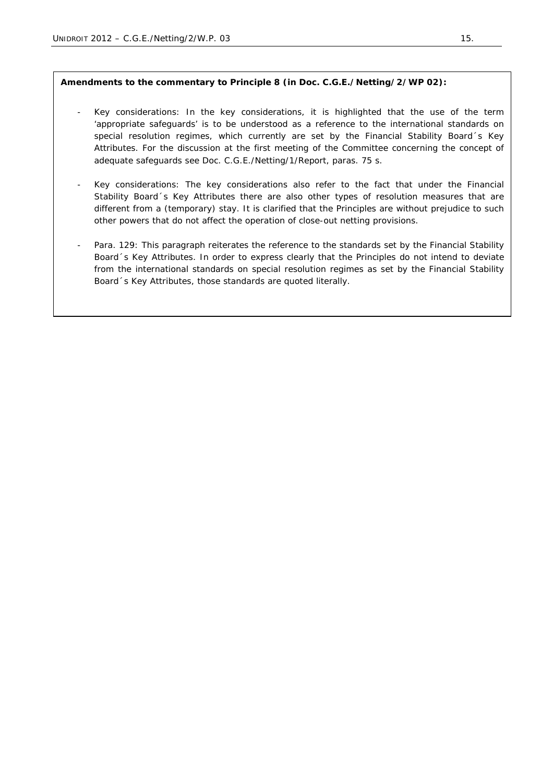# **Amendments to the commentary to Principle 8 (in Doc. C.G.E./Netting/2/WP 02):**

- Key considerations: In the key considerations, it is highlighted that the use of the term 'appropriate safeguards' is to be understood as a reference to the international standards on special resolution regimes, which currently are set by the Financial Stability Board´s Key Attributes. For the discussion at the first meeting of the Committee concerning the concept of adequate safeguards see Doc. C.G.E./Netting/1/Report, paras. 75 s.
- Key considerations: The key considerations also refer to the fact that under the Financial Stability Board´s Key Attributes there are also other types of resolution measures that are different from a (temporary) stay. It is clarified that the Principles are without prejudice to such other powers that do not affect the operation of close-out netting provisions.
- Para. 129: This paragraph reiterates the reference to the standards set by the Financial Stability Board´s Key Attributes. In order to express clearly that the Principles do not intend to deviate from the international standards on special resolution regimes as set by the Financial Stability Board´s Key Attributes, those standards are quoted literally.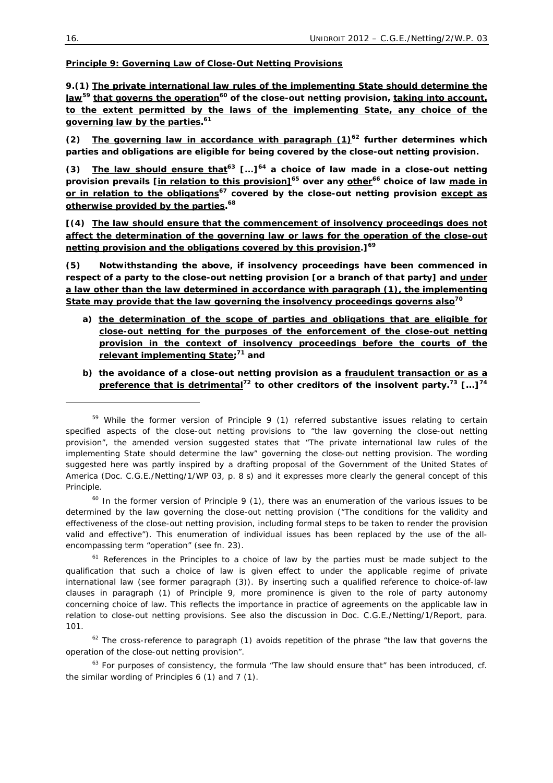#### **Principle 9: Governing Law of Close-Out Netting Provisions**

*9.(1) The private international law rules of the implementing State should determine the law***<sup>59</sup>** *that governs the operation***<sup>60</sup>** *of the close-out netting provision, taking into account, to the extent permitted by the laws of the implementing State, any choice of the governing law by the parties.* **<sup>61</sup>**

 $(2)$  The governing law in accordance with paragraph  $(1)^{62}$  further determines which *parties and obligations are eligible for being covered by the close-out netting provision.* 

*(3) The law should ensure that***<sup>63</sup>** *[...]***<sup>64</sup>** *a choice of law made in a close-out netting provision prevails [in relation to this provision]***<sup>65</sup>** *over any other***<sup>66</sup>** *choice of law made in or in relation to the obligations***<sup>67</sup>** *covered by the close-out netting provision except as otherwise provided by the parties.* **<sup>68</sup>**

*[(4) The law should ensure that the commencement of insolvency proceedings does not affect the determination of the governing law or laws for the operation of the close-out netting provision and the obligations covered by this provision.]***<sup>69</sup>**

*(5) Notwithstanding the above, if insolvency proceedings have been commenced in respect of a party to the close-out netting provision [or a branch of that party] and under a law other than the law determined in accordance with paragraph (1), the implementing State may provide that the law governing the insolvency proceedings governs also***<sup>70</sup>**

- *a) the determination of the scope of parties and obligations that are eligible for close-out netting for the purposes of the enforcement of the close-out netting provision in the context of insolvency proceedings before the courts of the relevant implementing State;* **<sup>71</sup>** *and*
- *b) the avoidance of a close-out netting provision as a fraudulent transaction or as a preference that is detrimental***<sup>72</sup>** *to other creditors of the insolvent party.***<sup>73</sup>** *[...]***<sup>74</sup>**

-

 $59$  While the former version of Principle 9 (1) referred substantive issues relating to certain specified aspects of the close-out netting provisions to "*the law governing the close-out netting provision*", the amended version suggested states that "*The private international law rules of the implementing State should determine the law*" governing the close-out netting provision. The wording suggested here was partly inspired by a drafting proposal of the Government of the United States of America (Doc. C.G.E./Netting/1/WP 03, p. 8 s) and it expresses more clearly the general concept of this Principle.

 $60$  In the former version of Principle 9 (1), there was an enumeration of the various issues to be determined by the law governing the close-out netting provision ("*The conditions for the validity and effectiveness of the close-out netting provision, including formal steps to be taken to render the provision valid and effective*"). This enumeration of individual issues has been replaced by the use of the allencompassing term "*operation"* (see fn. 23).

 $61$  References in the Principles to a choice of law by the parties must be made subject to the qualification that such a choice of law is given effect to under the applicable regime of private international law (see former paragraph (3)). By inserting such a qualified reference to choice-of-law clauses in paragraph (1) of Principle 9, more prominence is given to the role of party autonomy concerning choice of law. This reflects the importance in practice of agreements on the applicable law in relation to close-out netting provisions. See also the discussion in Doc. C.G.E./Netting/1/Report, para. 101.

<sup>62</sup> The cross-reference to paragraph (1) avoids repetition of the phrase *"the law that governs the operation of the close-out netting provision"*.

<sup>63</sup> For purposes of consistency, the formula "*The law should ensure that*" has been introduced, cf. the similar wording of Principles 6 (1) and 7 (1).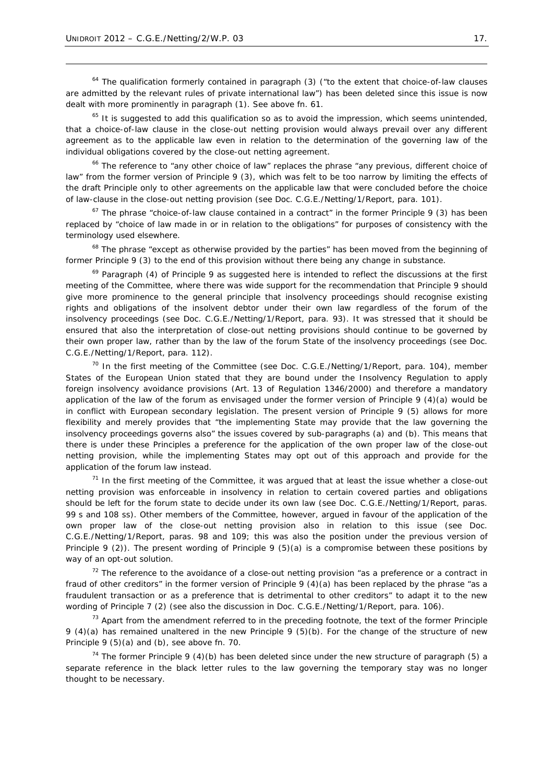-

64 The qualification formerly contained in paragraph (3) ("*to the extent that choice-of-law clauses are admitted by the relevant rules of private international law*") has been deleted since this issue is now dealt with more prominently in paragraph (1). See above fn. 61.

 $65$  It is suggested to add this qualification so as to avoid the impression, which seems unintended, that a choice-of-law clause in the close-out netting provision would always prevail over any different agreement as to the applicable law even in relation to the determination of the governing law of the individual obligations covered by the close-out netting agreement.

66 The reference to "*any other choice of law*" replaces the phrase "*any previous, different choice of law*" from the former version of Principle 9 (3), which was felt to be too narrow by limiting the effects of the draft Principle only to other agreements on the applicable law that were concluded *before* the choice of law-clause in the close-out netting provision (see Doc. C.G.E./Netting/1/Report, para. 101).

67 The phrase "*choice-of-law clause contained in a contract"* in the former Principle 9 (3) has been replaced by "*choice of law made in or in relation to the obligations*" for purposes of consistency with the terminology used elsewhere.

68 The phrase "*except as otherwise provided by the parties*" has been moved from the beginning of former Principle 9 (3) to the end of this provision without there being any change in substance.

 $69$  Paragraph (4) of Principle 9 as suggested here is intended to reflect the discussions at the first meeting of the Committee, where there was wide support for the recommendation that Principle 9 should give more prominence to the general principle that insolvency proceedings should recognise existing rights and obligations of the insolvent debtor under their own law regardless of the forum of the insolvency proceedings (see Doc. C.G.E./Netting/1/Report, para. 93). It was stressed that it should be ensured that also the interpretation of close-out netting provisions should continue to be governed by their own proper law, rather than by the law of the forum State of the insolvency proceedings (see Doc. C.G.E./Netting/1/Report, para. 112).

 $70$  In the first meeting of the Committee (see Doc. C.G.E./Netting/1/Report, para. 104), member States of the European Union stated that they are bound under the Insolvency Regulation to apply foreign insolvency avoidance provisions (Art. 13 of Regulation 1346/2000) and therefore a mandatory application of the law of the forum as envisaged under the former version of Principle 9 (4)(a) would be in conflict with European secondary legislation. The present version of Principle 9 (5) allows for more flexibility and merely provides that "*the implementing State may provide that the law governing the insolvency proceedings governs also"* the issues covered by sub-paragraphs (a) and (b). This means that there is under these Principles a preference for the application of the own proper law of the close-out netting provision, while the implementing States may opt out of this approach and provide for the application of the forum law instead.

 $<sup>71</sup>$  In the first meeting of the Committee, it was argued that at least the issue whether a close-out</sup> netting provision was enforceable in insolvency in relation to certain covered parties and obligations should be left for the forum state to decide under its own law (see Doc. C.G.E./Netting/1/Report, paras. 99 s and 108 ss). Other members of the Committee, however, argued in favour of the application of the own proper law of the close-out netting provision also in relation to this issue (see Doc. C.G.E./Netting/1/Report, paras. 98 and 109; this was also the position under the previous version of Principle 9 (2)). The present wording of Principle 9 (5)(a) is a compromise between these positions by way of an opt-out solution.

72 The reference to the avoidance of a close-out netting provision "*as a preference or a contract in fraud of other creditors*" in the former version of Principle 9 (4)(a) has been replaced by the phrase "*as a fraudulent transaction or as a preference that is detrimental to other creditors"* to adapt it to the new wording of Principle 7 (2) (see also the discussion in Doc. C.G.E./Netting/1/Report, para. 106).

 $73$  Apart from the amendment referred to in the preceding footnote, the text of the former Principle 9 (4)(a) has remained unaltered in the new Principle 9 (5)(b). For the change of the structure of new Principle 9 (5)(a) and (b), see above fn. 70.

<sup>74</sup> The former Principle 9 (4)(b) has been deleted since under the new structure of paragraph (5) a separate reference in the black letter rules to the law governing the temporary stay was no longer thought to be necessary.